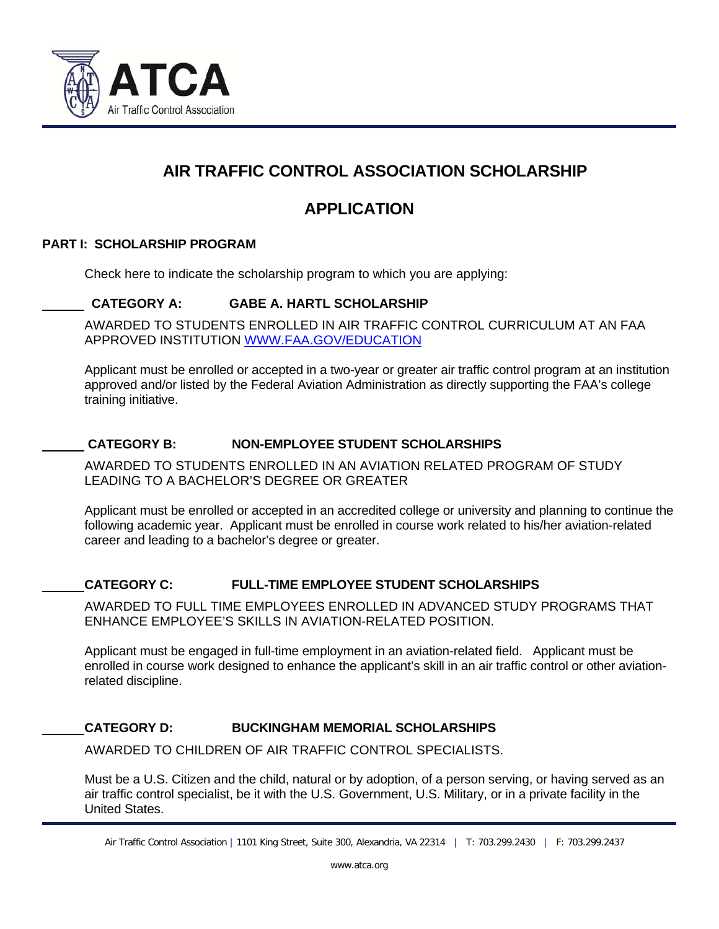

# **AIR TRAFFIC CONTROL ASSOCIATION SCHOLARSHIP**

# **APPLICATION**

### **PART I: SCHOLARSHIP PROGRAM**

j

Check here to indicate the scholarship program to which you are applying:

### **CATEGORY A: GABE A. HARTL SCHOLARSHIP**

AWARDED TO STUDENTS ENROLLED IN AIR TRAFFIC CONTROL CURRICULUM AT AN FAA APPROVED INSTITUTION WWW.FAA.GOV/EDUCATION

Applicant must be enrolled or accepted in a two-year or greater air traffic control program at an institution approved and/or listed by the Federal Aviation Administration as directly supporting the FAA's college training initiative.

### **CATEGORY B: NON-EMPLOYEE STUDENT SCHOLARSHIPS**

AWARDED TO STUDENTS ENROLLED IN AN AVIATION RELATED PROGRAM OF STUDY LEADING TO A BACHELOR'S DEGREE OR GREATER

Applicant must be enrolled or accepted in an accredited college or university and planning to continue the following academic year. Applicant must be enrolled in course work related to his/her aviation-related career and leading to a bachelor's degree or greater.

### **CATEGORY C: FULL-TIME EMPLOYEE STUDENT SCHOLARSHIPS**

AWARDED TO FULL TIME EMPLOYEES ENROLLED IN ADVANCED STUDY PROGRAMS THAT ENHANCE EMPLOYEE'S SKILLS IN AVIATION-RELATED POSITION.

Applicant must be engaged in full-time employment in an aviation-related field. Applicant must be enrolled in course work designed to enhance the applicant's skill in an air traffic control or other aviationrelated discipline.

### **CATEGORY D: BUCKINGHAM MEMORIAL SCHOLARSHIPS**

AWARDED TO CHILDREN OF AIR TRAFFIC CONTROL SPECIALISTS.

Must be a U.S. Citizen and the child, natural or by adoption, of a person serving, or having served as an air traffic control specialist, be it with the U.S. Government, U.S. Military, or in a private facility in the United States.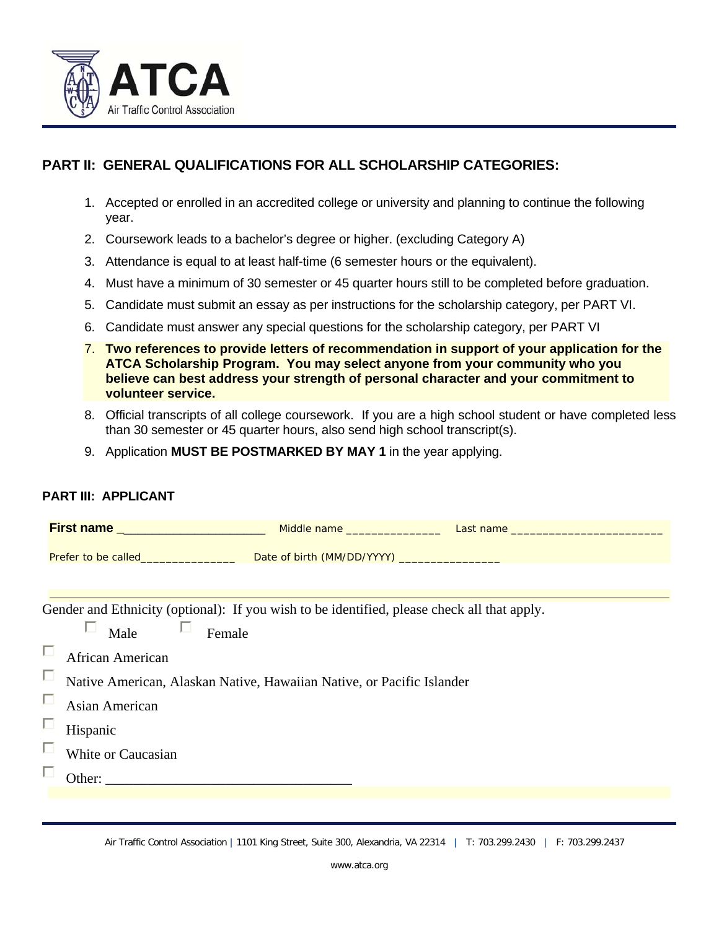

## **PART II: GENERAL QUALIFICATIONS FOR ALL SCHOLARSHIP CATEGORIES:**

- 1. Accepted or enrolled in an accredited college or university and planning to continue the following year.
- 2. Coursework leads to a bachelor's degree or higher. (excluding Category A)
- 3. Attendance is equal to at least half-time (6 semester hours or the equivalent).
- 4. Must have a minimum of 30 semester or 45 quarter hours still to be completed before graduation.
- 5. Candidate must submit an essay as per instructions for the scholarship category, per PART VI.
- 6. Candidate must answer any special questions for the scholarship category, per PART VI
- 7. **Two references to provide letters of recommendation in support of your application for the ATCA Scholarship Program. You may select anyone from your community who you believe can best address your strength of personal character and your commitment to volunteer service.**
- 8. Official transcripts of all college coursework. If you are a high school student or have completed less than 30 semester or 45 quarter hours, also send high school transcript(s).
- 9. Application **MUST BE POSTMARKED BY MAY 1** in the year applying.

### **PART III: APPLICANT**

|                                                                                             | Prefer to be called_____________________________Date of birth (MM/DD/YYYY) _________________________ |  |  |  |  |  |  |
|---------------------------------------------------------------------------------------------|------------------------------------------------------------------------------------------------------|--|--|--|--|--|--|
|                                                                                             |                                                                                                      |  |  |  |  |  |  |
|                                                                                             |                                                                                                      |  |  |  |  |  |  |
| Gender and Ethnicity (optional): If you wish to be identified, please check all that apply. |                                                                                                      |  |  |  |  |  |  |
|                                                                                             | П<br>Male<br>Female                                                                                  |  |  |  |  |  |  |
| п                                                                                           | African American                                                                                     |  |  |  |  |  |  |
| П                                                                                           | Native American, Alaskan Native, Hawaiian Native, or Pacific Islander                                |  |  |  |  |  |  |
| П                                                                                           | Asian American                                                                                       |  |  |  |  |  |  |
| П                                                                                           | Hispanic                                                                                             |  |  |  |  |  |  |
| П                                                                                           | White or Caucasian                                                                                   |  |  |  |  |  |  |
|                                                                                             |                                                                                                      |  |  |  |  |  |  |
|                                                                                             |                                                                                                      |  |  |  |  |  |  |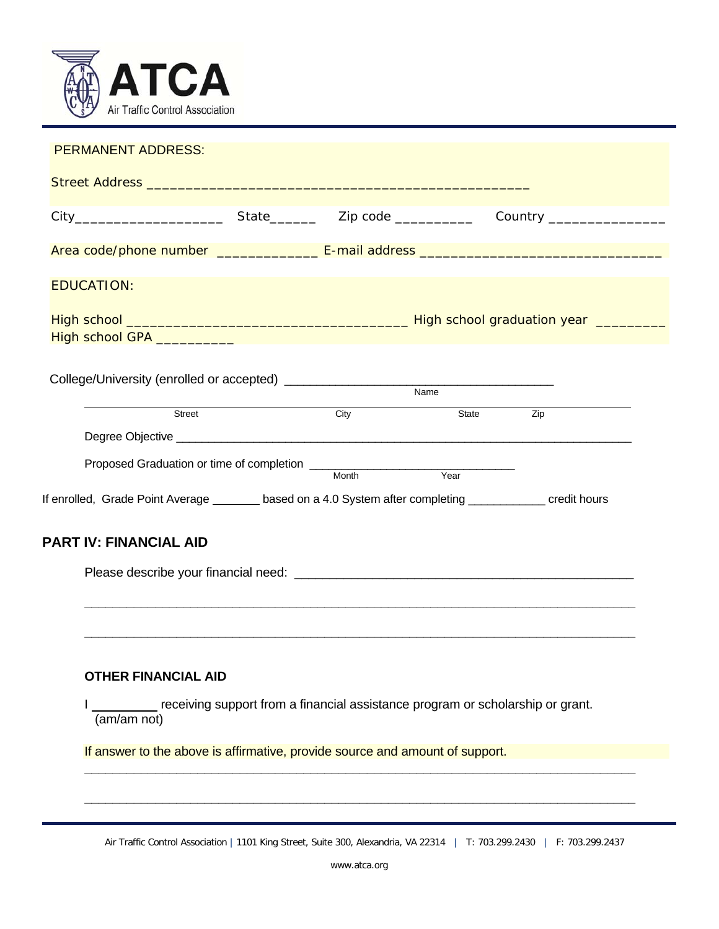

| <b>EDUCATION:</b>                                                                                        |      |                                                                                |     |
|----------------------------------------------------------------------------------------------------------|------|--------------------------------------------------------------------------------|-----|
|                                                                                                          |      |                                                                                |     |
|                                                                                                          |      |                                                                                |     |
|                                                                                                          |      | Name                                                                           |     |
| Street                                                                                                   | City | State                                                                          | Zip |
|                                                                                                          |      |                                                                                |     |
|                                                                                                          |      |                                                                                |     |
| If enrolled, Grade Point Average _______ based on a 4.0 System after completing ___________ credit hours |      |                                                                                |     |
| <b>PART IV: FINANCIAL AID</b>                                                                            |      |                                                                                |     |
|                                                                                                          |      |                                                                                |     |
|                                                                                                          |      |                                                                                |     |
| <b>OTHER FINANCIAL AID</b>                                                                               |      |                                                                                |     |
| (am/am not)                                                                                              |      | receiving support from a financial assistance program or scholarship or grant. |     |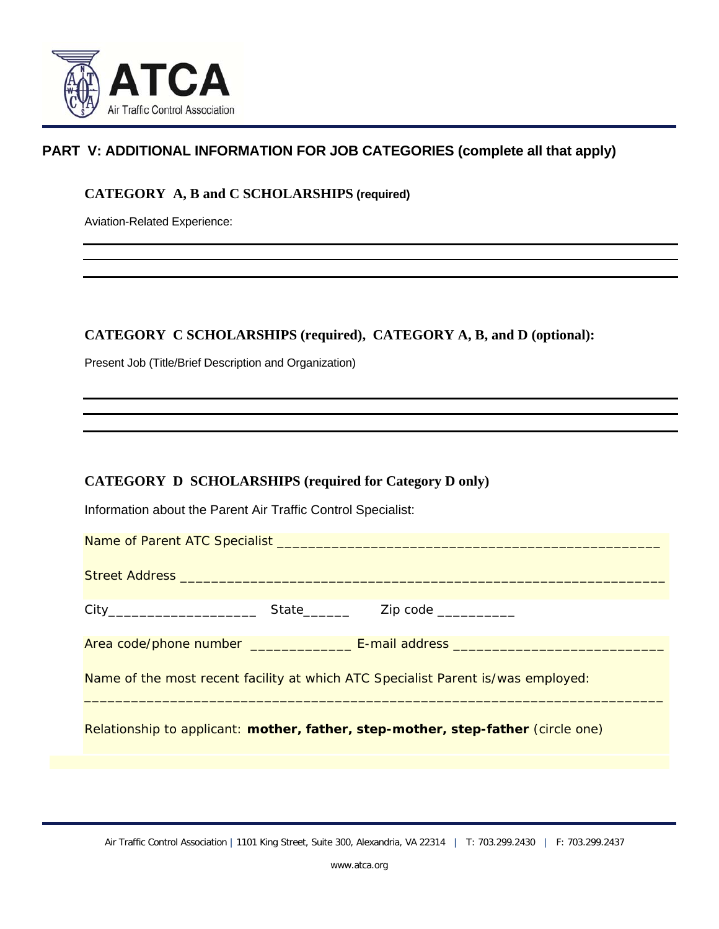

## **PART V: ADDITIONAL INFORMATION FOR JOB CATEGORIES (complete all that apply)**

### **CATEGORY A, B and C SCHOLARSHIPS (required)**

Aviation-Related Experience:

### **CATEGORY C SCHOLARSHIPS (required), CATEGORY A, B, and D (optional):**

Present Job (Title/Brief Description and Organization)

### **CATEGORY D SCHOLARSHIPS (required for Category D only)**

Information about the Parent Air Traffic Control Specialist: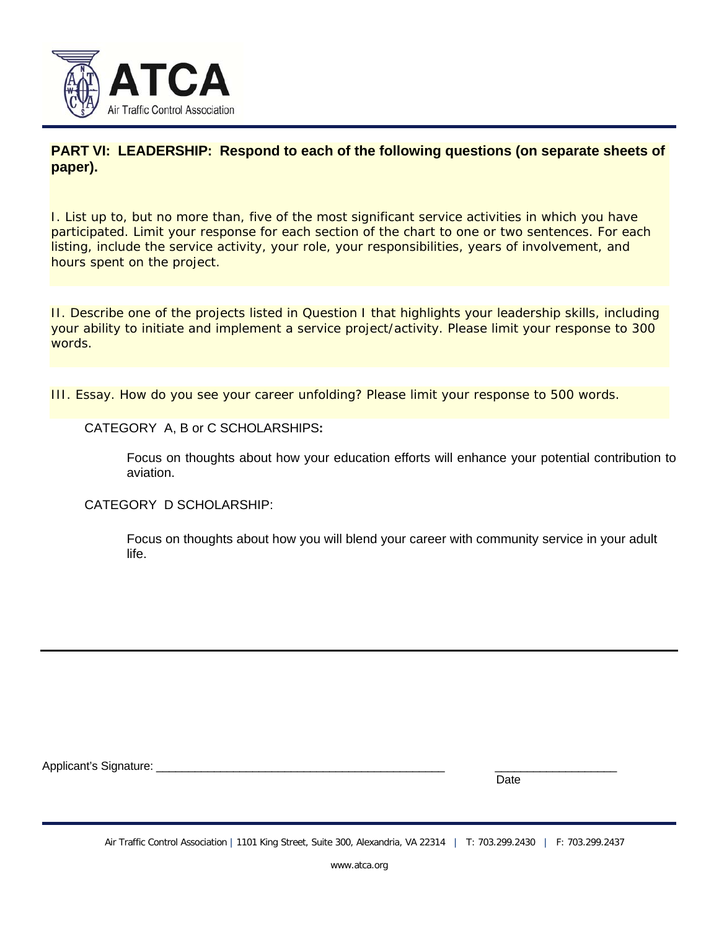

### **PART VI: LEADERSHIP: Respond to each of the following questions (on separate sheets of paper).**

I. List up to, but no more than, five of the most significant service activities in which you have participated. Limit your response for each section of the chart to one or two sentences. For each listing, include the service activity, your role, your responsibilities, years of involvement, and hours spent on the project.

II. Describe one of the projects listed in Question I that highlights your leadership skills, including your ability to initiate and implement a service project/activity. Please limit your response to 300 words.

III. Essay. How do you see your career unfolding? Please limit your response to 500 words.

#### CATEGORY A, B or C SCHOLARSHIPS**:**

Focus on thoughts about how your education efforts will enhance your potential contribution to aviation.

CATEGORY D SCHOLARSHIP:

Focus on thoughts about how you will blend your career with community service in your adult life.

Applicant's Signature: \_

discussion of the contract of the contract of the contract of the contract of the contract of the contract of the contract of the contract of the contract of the contract of the contract of the contract of the contract of